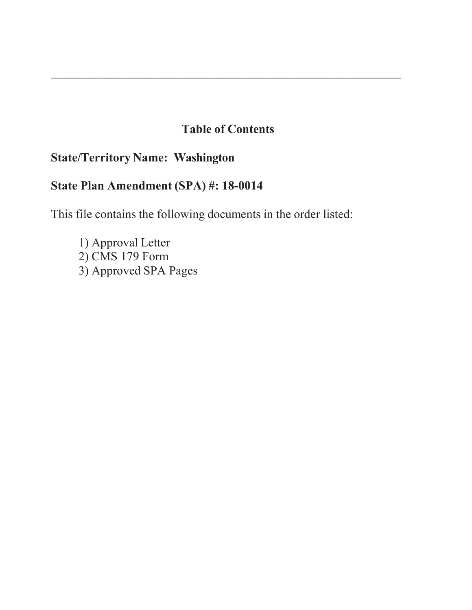# **Table of Contents**

\_\_\_\_\_\_\_\_\_\_\_\_\_\_\_\_\_\_\_\_\_\_\_\_\_\_\_\_\_\_\_\_\_\_\_\_\_\_\_\_\_\_\_\_\_\_\_\_\_\_\_\_\_\_\_\_\_\_\_\_\_\_\_\_\_\_\_\_\_\_\_\_\_\_\_\_\_\_\_\_\_\_\_

# **State/Territory Name: Washington**

# **State Plan Amendment (SPA) #: 18-00**

This file contains the following documents in the order listed:

1) Approval Letter  $2)$  CMS 179 Form 3) Approved SPA Pages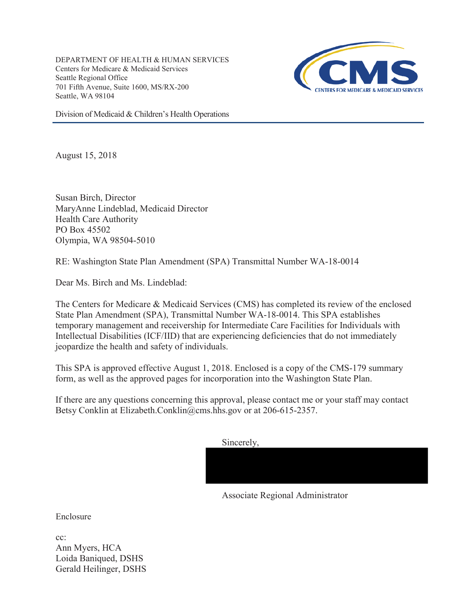DEPARTMENT OF HEALTH & HUMAN SERVICES Centers for Medicare & Medicaid Services Seattle Regional Office 701 Fifth Avenue, Suite 1600, MS/RX-200 Seattle, WA 98104



Division of Medicaid & Children's Health Operations

August 15, 2018

Susan Birch, Director MaryAnne Lindeblad, Medicaid Director Health Care Authority PO Box 45502 Olympia, WA 98504-5010

RE: Washington State Plan Amendment (SPA) Transmittal Number WA-18-0014

Dear Ms. Birch and Ms. Lindeblad:

The Centers for Medicare & Medicaid Services (CMS) has completed its review of the enclosed State Plan Amendment (SPA), Transmittal Number WA-18-0014. This SPA establishes temporary management and receivership for Intermediate Care Facilities for Individuals with Intellectual Disabilities (ICF/IID) that are experiencing deficiencies that do not immediately jeopardize the health and safety of individuals.

This SPA is approved effective August 1, 2018. Enclosed is a copy of the CMS-179 summary form, as well as the approved pages for incorporation into the Washington State Plan.

If there are any questions concerning this approval, please contact me or your staff may contact Betsy Conklin at Elizabeth.Conklin@cms.hhs.gov or at 206-615-2357.

Sincerely,

Associate Regional Administrator

Enclosure

cc: Ann Myers, HCA Loida Baniqued, DSHS Gerald Heilinger, DSHS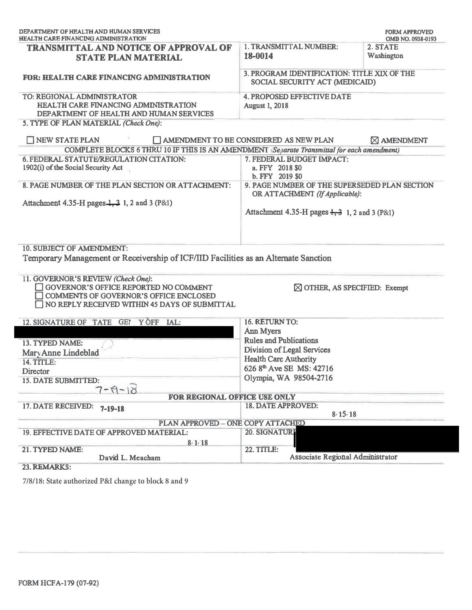| DEPARTMENT OF HEALTH AND HUMAN SERVICES<br><b>HEALTH CARE FINANCING ADMINISTRATION</b>                                                                               |                                                                                                                                             | <b>FORM APPROVED</b><br>OMB NO. 0938-0193 |
|----------------------------------------------------------------------------------------------------------------------------------------------------------------------|---------------------------------------------------------------------------------------------------------------------------------------------|-------------------------------------------|
| <b>TRANSMITTAL AND NOTICE OF APPROVAL OF</b><br><b>STATE PLAN MATERIAL</b>                                                                                           | 1. TRANSMITTAL NUMBER:<br>18-0014                                                                                                           | 2. STATE<br>Washington                    |
| <b>FOR: HEALTH CARE FINANCING ADMINISTRATION</b>                                                                                                                     | 3. PROGRAM IDENTIFICATION: TITLE XIX OF THE<br>SOCIAL SECURITY ACT (MEDICAID)                                                               |                                           |
| TO: REGIONAL ADMINISTRATOR<br><b>HEALTH CARE FINANCING ADMINISTRATION</b><br>DEPARTMENT OF HEALTH AND HUMAN SERVICES                                                 | <b>4. PROPOSED EFFECTIVE DATE</b><br><b>August 1, 2018</b>                                                                                  |                                           |
| 5. TYPE OF PLAN MATERIAL (Check One):                                                                                                                                |                                                                                                                                             |                                           |
| NEW STATE PLAN                                                                                                                                                       | AMENDMENT TO BE CONSIDERED AS NEW PLAN                                                                                                      | <b>X AMENDMENT</b>                        |
| COMPLETE BLOCKS 6 THRU 10 IF THIS IS AN AMENDMENT (Separate Transmittal for each amendment)                                                                          |                                                                                                                                             |                                           |
| 6. FEDERAL STATUTE/REGULATION CITATION:<br>1902(i) of the Social Security Act                                                                                        | 7. FEDERAL BUDGET IMPACT:<br>a. FFY 2018 \$0<br>b. FFY 2019 \$0                                                                             |                                           |
| 8. PAGE NUMBER OF THE PLAN SECTION OR ATTACHMENT:                                                                                                                    | 9. PAGE NUMBER OF THE SUPERSEDED PLAN SECTION<br>OR ATTACHMENT (If Applicable):<br>Attachment 4.35-H pages $\frac{1}{2}$ , 1, 2 and 3 (P&1) |                                           |
| Attachment 4.35-H pages $\frac{1}{2}$ , 3 1, 2 and 3 (P&1)                                                                                                           |                                                                                                                                             |                                           |
| 10. SUBJECT OF AMENDMENT:<br>Temporary Management or Receivership of ICF/IID Facilities as an Alternate Sanction                                                     |                                                                                                                                             |                                           |
| 11. GOVERNOR'S REVIEW (Check One):<br>GOVERNOR'S OFFICE REPORTED NO COMMENT<br>COMMENTS OF GOVERNOR'S OFFICE ENCLOSED                                                | $\boxtimes$ OTHER, AS SPECIFIED: Exempt                                                                                                     |                                           |
| NO REPLY RECEIVED WITHIN 45 DAYS OF SUBMITTAL                                                                                                                        |                                                                                                                                             |                                           |
|                                                                                                                                                                      | 16. RETURN TO:                                                                                                                              |                                           |
|                                                                                                                                                                      | <b>Ann Myers</b><br><b>Rules and Publications</b>                                                                                           |                                           |
|                                                                                                                                                                      | <b>Division of Legal Services</b>                                                                                                           |                                           |
|                                                                                                                                                                      | <b>Health Care Authority</b>                                                                                                                |                                           |
|                                                                                                                                                                      | 626 8th Ave SE MS: 42716                                                                                                                    |                                           |
|                                                                                                                                                                      | Olympia, WA 98504-2716                                                                                                                      |                                           |
| 12. SIGNATURE OF TATE GEI YOFF IAL:<br>13. TYPED NAME:<br>Mary Anne Lindeblad<br><b>14. TITLE:</b><br><b>Director</b><br><b>15. DATE SUBMITTED:</b><br>$7 - 18 - 18$ |                                                                                                                                             |                                           |
| FOR REGIONAL OFFICE USE ONLY<br>$7 - 19 - 18$                                                                                                                        | 18. DATE APPROVED:                                                                                                                          |                                           |
| PLAN APPROVED - ONE COPY ATTACHED                                                                                                                                    | 8/15/18                                                                                                                                     |                                           |
| 17. DATE RECEIVED:<br>19. EFFECTIVE DATE OF APPROVED MATERIAL:                                                                                                       | 20. SIGNATURI                                                                                                                               |                                           |
| 8/1/18<br>21. TYPED NAME:<br>David L. Meacham                                                                                                                        | <b>22. TITLE:</b><br>Associate Regional Administrator                                                                                       |                                           |

7/8/18: State authorized P&I change to block 8 and 9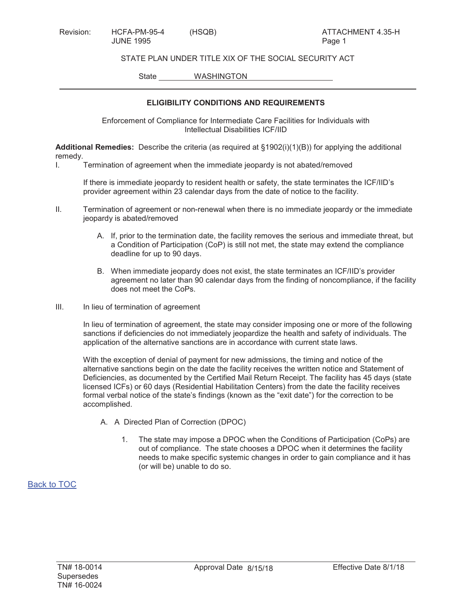STATE PLAN UNDER TITLE XIX OF THE SOCIAL SECURITY ACT

State WASHINGTON

### **ELIGIBILITY CONDITIONS AND REQUIREMENTS**

Enforcement of Compliance for Intermediate Care Facilities for Individuals with Intellectual Disabilities ICF/IID

**Additional Remedies:** Describe the criteria (as required at §1902(i)(1)(B)) for applying the additional remedy.

I. Termination of agreement when the immediate jeopardy is not abated/removed

If there is immediate jeopardy to resident health or safety, the state terminates the ICF/IID's provider agreement within 23 calendar days from the date of notice to the facility.

- II. Termination of agreement or non-renewal when there is no immediate jeopardy or the immediate jeopardy is abated/removed
	- A. If, prior to the termination date, the facility removes the serious and immediate threat, but a Condition of Participation (CoP) is still not met, the state may extend the compliance deadline for up to 90 days.
	- B. When immediate jeopardy does not exist, the state terminates an ICF/IID's provider agreement no later than 90 calendar days from the finding of noncompliance, if the facility does not meet the CoPs.
- III. In lieu of termination of agreement

In lieu of termination of agreement, the state may consider imposing one or more of the following sanctions if deficiencies do not immediately jeopardize the health and safety of individuals. The application of the alternative sanctions are in accordance with current state laws.

With the exception of denial of payment for new admissions, the timing and notice of the alternative sanctions begin on the date the facility receives the written notice and Statement of Deficiencies, as documented by the Certified Mail Return Receipt. The facility has 45 days (state licensed ICFs) or 60 days (Residential Habilitation Centers) from the date the facility receives formal verbal notice of the state's findings (known as the "exit date") for the correction to be accomplished.

- A. A Directed Plan of Correction (DPOC)
	- 1. The state may impose a DPOC when the Conditions of Participation (CoPs) are out of compliance. The state chooses a DPOC when it determines the facility needs to make specific systemic changes in order to gain compliance and it has (or will be) unable to do so.

Back to TOC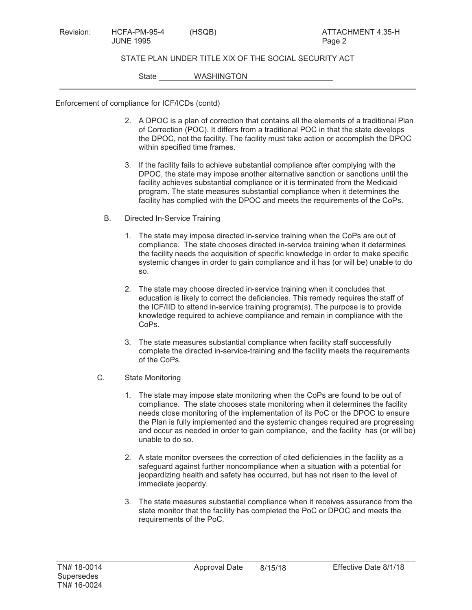### STATE PLAN UNDER TITLE XIX OF THE SOCIAL SECURITY ACT

State WASHINGTON

Enforcement of compliance for ICF/ICDs (contd)

- 2. A DPOC is a plan of correction that contains all the elements of a traditional Plan of Correction (POC). It differs from a traditional POC in that the state develops the DPOC, not the facility. The facility must take action or accomplish the DPOC within specified time frames.
- 3. If the facility fails to achieve substantial compliance after complying with the DPOC, the state may impose another alternative sanction or sanctions until the facility achieves substantial compliance or it is terminated from the Medicaid program. The state measures substantial compliance when it determines the facility has complied with the DPOC and meets the requirements of the CoPs.
- B. Directed In-Service Training
	- 1. The state may impose directed in-service training when the CoPs are out of compliance. The state chooses directed in-service training when it determines the facility needs the acquisition of specific knowledge in order to make specific systemic changes in order to gain compliance and it has (or will be) unable to do so.
	- 2. The state may choose directed in-service training when it concludes that education is likely to correct the deficiencies. This remedy requires the staff of the ICF/IID to attend in-service training program(s). The purpose is to provide knowledge required to achieve compliance and remain in compliance with the CoPs.
	- 3. The state measures substantial compliance when facility staff successfully complete the directed in-service-training and the facility meets the requirements of the CoPs.
- C. State Monitoring
	- 1. The state may impose state monitoring when the CoPs are found to be out of compliance. The state chooses state monitoring when it determines the facility needs close monitoring of the implementation of its PoC or the DPOC to ensure the Plan is fully implemented and the systemic changes required are progressing and occur as needed in order to gain compliance, and the facility has (or will be) unable to do so.
	- 2. A state monitor oversees the correction of cited deficiencies in the facility as a safeguard against further noncompliance when a situation with a potential for jeopardizing health and safety has occurred, but has not risen to the level of immediate jeopardy.
	- 3. The state measures substantial compliance when it receives assurance from the state monitor that the facility has completed the PoC or DPOC and meets the requirements of the PoC.